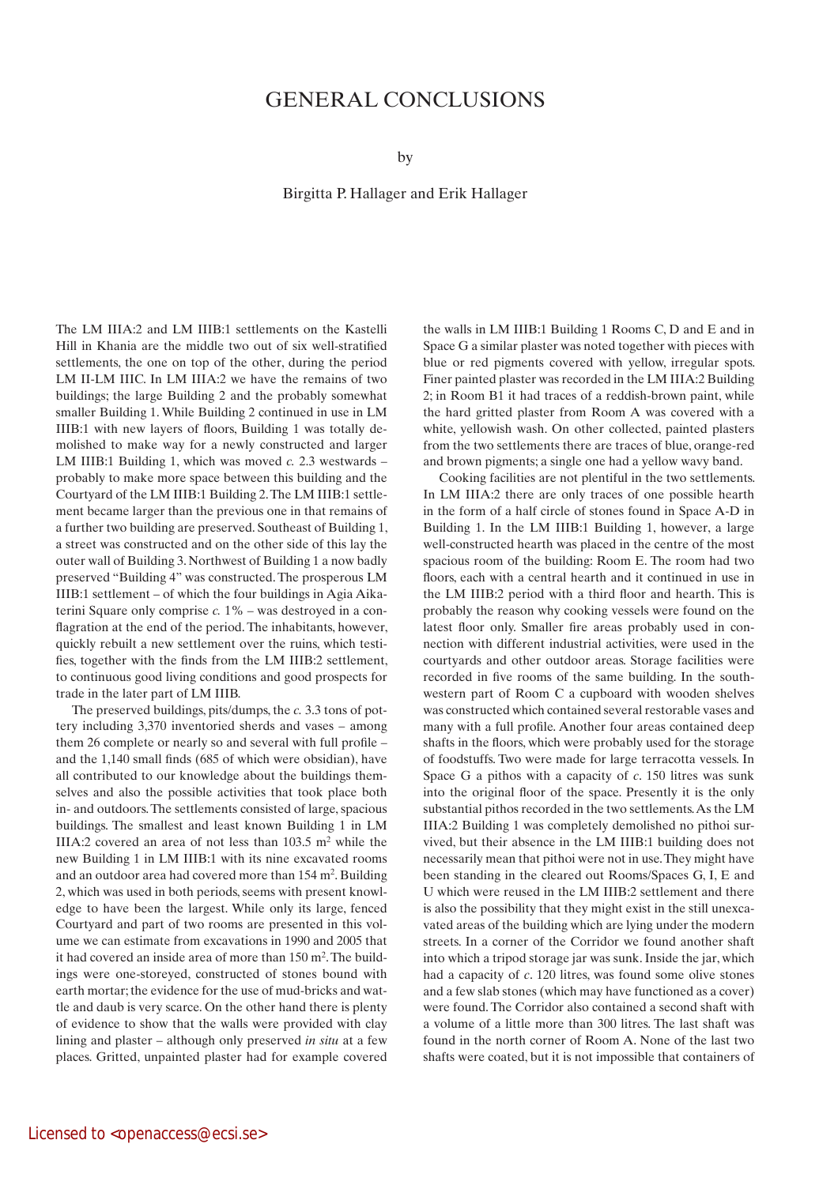## GENERAL CONCLUSIONS

by

Birgitta P. Hallager and Erik Hallager

The LM IIIA:2 and LM IIIB:1 settlements on the Kastelli Hill in Khania are the middle two out of six well-stratified settlements, the one on top of the other, during the period LM II-LM IIIC. In LM IIIA:2 we have the remains of two buildings; the large Building 2 and the probably somewhat smaller Building 1. While Building 2 continued in use in LM IIIB:1 with new layers of floors, Building 1 was totally demolished to make way for a newly constructed and larger LM IIIB:1 Building 1, which was moved *c.* 2.3 westwards – probably to make more space between this building and the Courtyard of the LM IIIB:1 Building 2. The LM IIIB:1 settlement became larger than the previous one in that remains of a further two building are preserved. Southeast of Building 1, a street was constructed and on the other side of this lay the outer wall of Building 3. Northwest of Building 1 a now badly preserved "Building 4" was constructed. The prosperous LM IIIB:1 settlement – of which the four buildings in Agia Aikaterini Square only comprise *c.* 1% – was destroyed in a conflagration at the end of the period. The inhabitants, however, quickly rebuilt a new settlement over the ruins, which testifies, together with the finds from the LM IIIB:2 settlement, to continuous good living conditions and good prospects for trade in the later part of LM IIIB.

The preserved buildings, pits/dumps, the *c.* 3.3 tons of pottery including 3,370 inventoried sherds and vases – among them 26 complete or nearly so and several with full profile – and the 1,140 small finds (685 of which were obsidian), have all contributed to our knowledge about the buildings themselves and also the possible activities that took place both in- and outdoors. The settlements consisted of large, spacious buildings. The smallest and least known Building 1 in LM IIIA:2 covered an area of not less than  $103.5$  m<sup>2</sup> while the new Building 1 in LM IIIB:1 with its nine excavated rooms and an outdoor area had covered more than 154 m2. Building 2, which was used in both periods, seems with present knowledge to have been the largest. While only its large, fenced Courtyard and part of two rooms are presented in this volume we can estimate from excavations in 1990 and 2005 that it had covered an inside area of more than 150 m2. The buildings were one-storeyed, constructed of stones bound with earth mortar; the evidence for the use of mud-bricks and wattle and daub is very scarce. On the other hand there is plenty of evidence to show that the walls were provided with clay lining and plaster – although only preserved *in situ* at a few places. Gritted, unpainted plaster had for example covered the walls in LM IIIB:1 Building 1 Rooms C, D and E and in Space G a similar plaster was noted together with pieces with blue or red pigments covered with yellow, irregular spots. Finer painted plaster was recorded in the LM IIIA:2 Building 2; in Room B1 it had traces of a reddish-brown paint, while the hard gritted plaster from Room A was covered with a white, yellowish wash. On other collected, painted plasters from the two settlements there are traces of blue, orange-red and brown pigments; a single one had a yellow wavy band.

Cooking facilities are not plentiful in the two settlements. In LM IIIA:2 there are only traces of one possible hearth in the form of a half circle of stones found in Space A-D in Building 1. In the LM IIIB:1 Building 1, however, a large well-constructed hearth was placed in the centre of the most spacious room of the building: Room E. The room had two floors, each with a central hearth and it continued in use in the LM IIIB:2 period with a third floor and hearth. This is probably the reason why cooking vessels were found on the latest floor only. Smaller fire areas probably used in connection with different industrial activities, were used in the courtyards and other outdoor areas. Storage facilities were recorded in five rooms of the same building. In the southwestern part of Room C a cupboard with wooden shelves was constructed which contained several restorable vases and many with a full profile. Another four areas contained deep shafts in the floors, which were probably used for the storage of foodstuffs. Two were made for large terracotta vessels. In Space G a pithos with a capacity of *c*. 150 litres was sunk into the original floor of the space. Presently it is the only substantial pithos recorded in the two settlements. As the LM IIIA:2 Building 1 was completely demolished no pithoi survived, but their absence in the LM IIIB:1 building does not necessarily mean that pithoi were not in use. They might have been standing in the cleared out Rooms/Spaces G, I, E and U which were reused in the LM IIIB:2 settlement and there is also the possibility that they might exist in the still unexcavated areas of the building which are lying under the modern streets. In a corner of the Corridor we found another shaft into which a tripod storage jar was sunk. Inside the jar, which had a capacity of *c*. 120 litres, was found some olive stones and a few slab stones (which may have functioned as a cover) were found. The Corridor also contained a second shaft with a volume of a little more than 300 litres. The last shaft was found in the north corner of Room A. None of the last two shafts were coated, but it is not impossible that containers of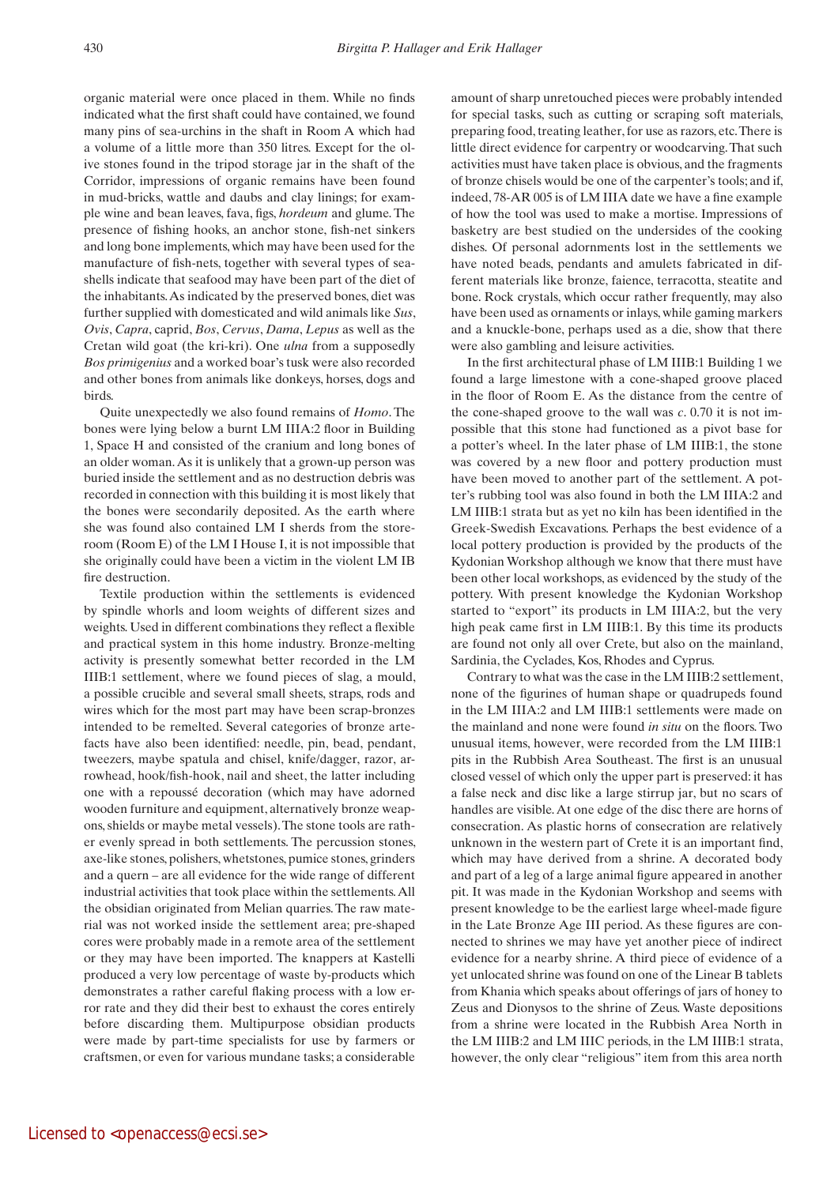organic material were once placed in them. While no finds indicated what the first shaft could have contained, we found many pins of sea-urchins in the shaft in Room A which had a volume of a little more than 350 litres. Except for the olive stones found in the tripod storage jar in the shaft of the Corridor, impressions of organic remains have been found in mud-bricks, wattle and daubs and clay linings; for example wine and bean leaves, fava, figs, *hordeum* and glume. The presence of fishing hooks, an anchor stone, fish-net sinkers and long bone implements, which may have been used for the manufacture of fish-nets, together with several types of seashells indicate that seafood may have been part of the diet of the inhabitants. As indicated by the preserved bones, diet was further supplied with domesticated and wild animals like *Sus*, *Ovis*, *Capra*, caprid, *Bos*, *Cervus*, *Dama*, *Lepus* as well as the Cretan wild goat (the kri-kri). One *ulna* from a supposedly *Bos primigenius* and a worked boar's tusk were also recorded and other bones from animals like donkeys, horses, dogs and birds.

Quite unexpectedly we also found remains of *Homo*. The bones were lying below a burnt LM IIIA:2 floor in Building 1, Space H and consisted of the cranium and long bones of an older woman. As it is unlikely that a grown-up person was buried inside the settlement and as no destruction debris was recorded in connection with this building it is most likely that the bones were secondarily deposited. As the earth where she was found also contained LM I sherds from the storeroom (Room E) of the LM I House I, it is not impossible that she originally could have been a victim in the violent LM IB fire destruction.

Textile production within the settlements is evidenced by spindle whorls and loom weights of different sizes and weights. Used in different combinations they reflect a flexible and practical system in this home industry. Bronze-melting activity is presently somewhat better recorded in the LM IIIB:1 settlement, where we found pieces of slag, a mould, a possible crucible and several small sheets, straps, rods and wires which for the most part may have been scrap-bronzes intended to be remelted. Several categories of bronze artefacts have also been identified: needle, pin, bead, pendant, tweezers, maybe spatula and chisel, knife/dagger, razor, arrowhead, hook/fish-hook, nail and sheet, the latter including one with a repoussé decoration (which may have adorned wooden furniture and equipment, alternatively bronze weapons, shields or maybe metal vessels). The stone tools are rather evenly spread in both settlements. The percussion stones, axe-like stones, polishers, whetstones, pumice stones, grinders and a quern – are all evidence for the wide range of different industrial activities that took place within the settlements. All the obsidian originated from Melian quarries. The raw material was not worked inside the settlement area; pre-shaped cores were probably made in a remote area of the settlement or they may have been imported. The knappers at Kastelli produced a very low percentage of waste by-products which demonstrates a rather careful flaking process with a low error rate and they did their best to exhaust the cores entirely before discarding them. Multipurpose obsidian products were made by part-time specialists for use by farmers or craftsmen, or even for various mundane tasks; a considerable

Licensed to <openaccess@ecsi.se>

amount of sharp unretouched pieces were probably intended for special tasks, such as cutting or scraping soft materials, preparing food, treating leather, for use as razors, etc. There is little direct evidence for carpentry or woodcarving. That such activities must have taken place is obvious, and the fragments of bronze chisels would be one of the carpenter's tools; and if, indeed, 78-AR 005 is of LM IIIA date we have a fine example of how the tool was used to make a mortise. Impressions of basketry are best studied on the undersides of the cooking dishes. Of personal adornments lost in the settlements we have noted beads, pendants and amulets fabricated in different materials like bronze, faience, terracotta, steatite and bone. Rock crystals, which occur rather frequently, may also have been used as ornaments or inlays, while gaming markers and a knuckle-bone, perhaps used as a die, show that there were also gambling and leisure activities.

In the first architectural phase of LM IIIB:1 Building 1 we found a large limestone with a cone-shaped groove placed in the floor of Room E. As the distance from the centre of the cone-shaped groove to the wall was *c*. 0.70 it is not impossible that this stone had functioned as a pivot base for a potter's wheel. In the later phase of LM IIIB:1, the stone was covered by a new floor and pottery production must have been moved to another part of the settlement. A potter's rubbing tool was also found in both the LM IIIA:2 and LM IIIB:1 strata but as yet no kiln has been identified in the Greek-Swedish Excavations. Perhaps the best evidence of a local pottery production is provided by the products of the Kydonian Workshop although we know that there must have been other local workshops, as evidenced by the study of the pottery. With present knowledge the Kydonian Workshop started to "export" its products in LM IIIA:2, but the very high peak came first in LM IIIB:1. By this time its products are found not only all over Crete, but also on the mainland, Sardinia, the Cyclades, Kos, Rhodes and Cyprus.

Contrary to what was the case in the LM IIIB:2 settlement, none of the figurines of human shape or quadrupeds found in the LM IIIA:2 and LM IIIB:1 settlements were made on the mainland and none were found *in situ* on the floors. Two unusual items, however, were recorded from the LM IIIB:1 pits in the Rubbish Area Southeast. The first is an unusual closed vessel of which only the upper part is preserved: it has a false neck and disc like a large stirrup jar, but no scars of handles are visible. At one edge of the disc there are horns of consecration. As plastic horns of consecration are relatively unknown in the western part of Crete it is an important find, which may have derived from a shrine. A decorated body and part of a leg of a large animal figure appeared in another pit. It was made in the Kydonian Workshop and seems with present knowledge to be the earliest large wheel-made figure in the Late Bronze Age III period. As these figures are connected to shrines we may have yet another piece of indirect evidence for a nearby shrine. A third piece of evidence of a yet unlocated shrine was found on one of the Linear B tablets from Khania which speaks about offerings of jars of honey to Zeus and Dionysos to the shrine of Zeus. Waste depositions from a shrine were located in the Rubbish Area North in the LM IIIB:2 and LM IIIC periods, in the LM IIIB:1 strata, however, the only clear "religious" item from this area north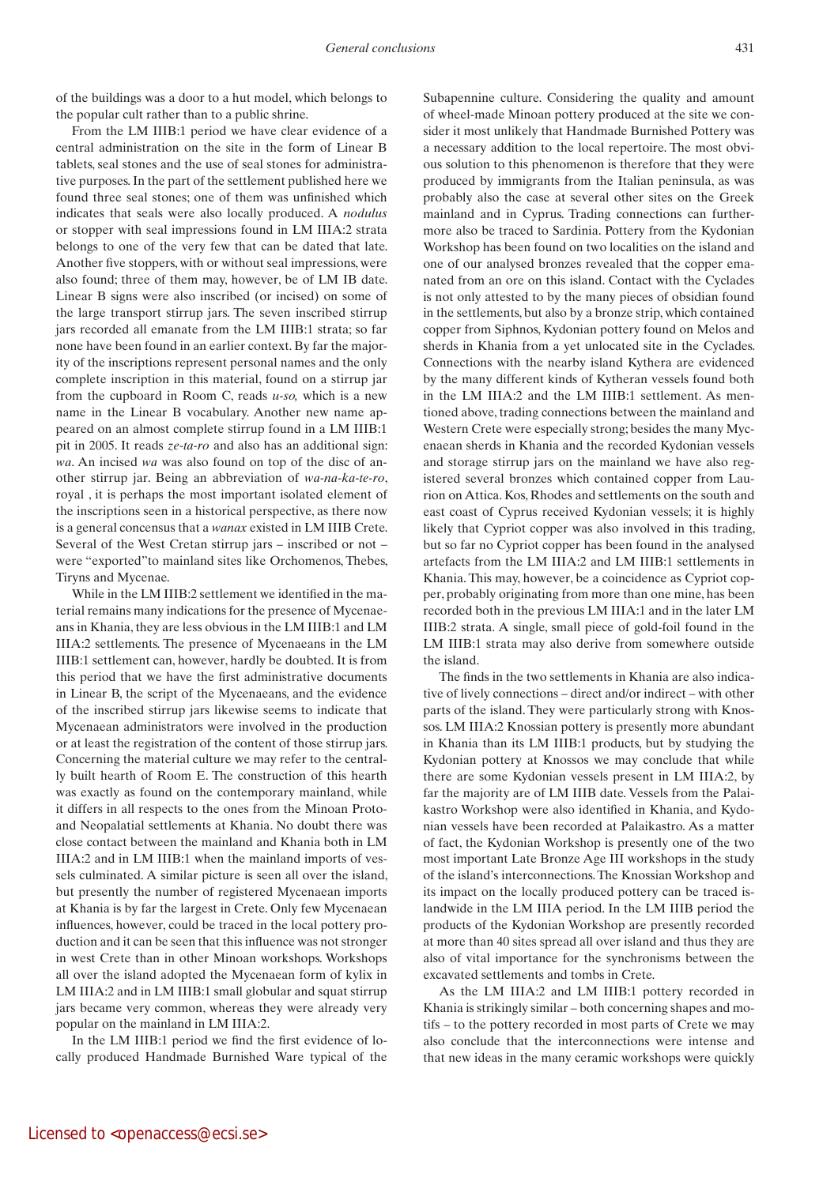of the buildings was a door to a hut model, which belongs to the popular cult rather than to a public shrine.

From the LM IIIB:1 period we have clear evidence of a central administration on the site in the form of Linear B tablets, seal stones and the use of seal stones for administrative purposes. In the part of the settlement published here we found three seal stones; one of them was unfinished which indicates that seals were also locally produced. A *nodulus* or stopper with seal impressions found in LM IIIA:2 strata belongs to one of the very few that can be dated that late. Another five stoppers, with or without seal impressions, were also found; three of them may, however, be of LM IB date. Linear B signs were also inscribed (or incised) on some of the large transport stirrup jars. The seven inscribed stirrup jars recorded all emanate from the LM IIIB:1 strata; so far none have been found in an earlier context. By far the majority of the inscriptions represent personal names and the only complete inscription in this material, found on a stirrup jar from the cupboard in Room C, reads *u-so,* which is a new name in the Linear B vocabulary. Another new name appeared on an almost complete stirrup found in a LM IIIB:1 pit in 2005. It reads *ze-ta-ro* and also has an additional sign: *wa*. An incised *wa* was also found on top of the disc of another stirrup jar. Being an abbreviation of *wa-na-ka-te-ro*, royal , it is perhaps the most important isolated element of the inscriptions seen in a historical perspective, as there now is a general concensus that a *wanax* existed in LM IIIB Crete. Several of the West Cretan stirrup jars – inscribed or not – were "exported"to mainland sites like Orchomenos, Thebes, Tiryns and Mycenae.

While in the LM IIIB:2 settlement we identified in the material remains many indications for the presence of Mycenaeans in Khania, they are less obvious in the LM IIIB:1 and LM IIIA:2 settlements. The presence of Mycenaeans in the LM IIIB:1 settlement can, however, hardly be doubted. It is from this period that we have the first administrative documents in Linear B, the script of the Mycenaeans, and the evidence of the inscribed stirrup jars likewise seems to indicate that Mycenaean administrators were involved in the production or at least the registration of the content of those stirrup jars. Concerning the material culture we may refer to the centrally built hearth of Room E. The construction of this hearth was exactly as found on the contemporary mainland, while it differs in all respects to the ones from the Minoan Protoand Neopalatial settlements at Khania. No doubt there was close contact between the mainland and Khania both in LM IIIA:2 and in LM IIIB:1 when the mainland imports of vessels culminated. A similar picture is seen all over the island, but presently the number of registered Mycenaean imports at Khania is by far the largest in Crete. Only few Mycenaean influences, however, could be traced in the local pottery production and it can be seen that this influence was not stronger in west Crete than in other Minoan workshops. Workshops all over the island adopted the Mycenaean form of kylix in LM IIIA:2 and in LM IIIB:1 small globular and squat stirrup jars became very common, whereas they were already very popular on the mainland in LM IIIA:2.

In the LM IIIB:1 period we find the first evidence of locally produced Handmade Burnished Ware typical of the Subapennine culture. Considering the quality and amount of wheel-made Minoan pottery produced at the site we consider it most unlikely that Handmade Burnished Pottery was a necessary addition to the local repertoire. The most obvious solution to this phenomenon is therefore that they were produced by immigrants from the Italian peninsula, as was probably also the case at several other sites on the Greek mainland and in Cyprus. Trading connections can furthermore also be traced to Sardinia. Pottery from the Kydonian Workshop has been found on two localities on the island and one of our analysed bronzes revealed that the copper emanated from an ore on this island. Contact with the Cyclades is not only attested to by the many pieces of obsidian found in the settlements, but also by a bronze strip, which contained copper from Siphnos, Kydonian pottery found on Melos and sherds in Khania from a yet unlocated site in the Cyclades. Connections with the nearby island Kythera are evidenced by the many different kinds of Kytheran vessels found both in the LM IIIA:2 and the LM IIIB:1 settlement. As mentioned above, trading connections between the mainland and Western Crete were especially strong; besides the many Mycenaean sherds in Khania and the recorded Kydonian vessels and storage stirrup jars on the mainland we have also registered several bronzes which contained copper from Laurion on Attica. Kos, Rhodes and settlements on the south and east coast of Cyprus received Kydonian vessels; it is highly likely that Cypriot copper was also involved in this trading, but so far no Cypriot copper has been found in the analysed artefacts from the LM IIIA:2 and LM IIIB:1 settlements in Khania. This may, however, be a coincidence as Cypriot copper, probably originating from more than one mine, has been recorded both in the previous LM IIIA:1 and in the later LM IIIB:2 strata. A single, small piece of gold-foil found in the LM IIIB:1 strata may also derive from somewhere outside the island.

The finds in the two settlements in Khania are also indicative of lively connections – direct and/or indirect – with other parts of the island. They were particularly strong with Knossos. LM IIIA:2 Knossian pottery is presently more abundant in Khania than its LM IIIB:1 products, but by studying the Kydonian pottery at Knossos we may conclude that while there are some Kydonian vessels present in LM IIIA:2, by far the majority are of LM IIIB date. Vessels from the Palaikastro Workshop were also identified in Khania, and Kydonian vessels have been recorded at Palaikastro. As a matter of fact, the Kydonian Workshop is presently one of the two most important Late Bronze Age III workshops in the study of the island's interconnections. The Knossian Workshop and its impact on the locally produced pottery can be traced islandwide in the LM IIIA period. In the LM IIIB period the products of the Kydonian Workshop are presently recorded at more than 40 sites spread all over island and thus they are also of vital importance for the synchronisms between the excavated settlements and tombs in Crete.

As the LM IIIA:2 and LM IIIB:1 pottery recorded in Khania is strikingly similar – both concerning shapes and motifs – to the pottery recorded in most parts of Crete we may also conclude that the interconnections were intense and that new ideas in the many ceramic workshops were quickly